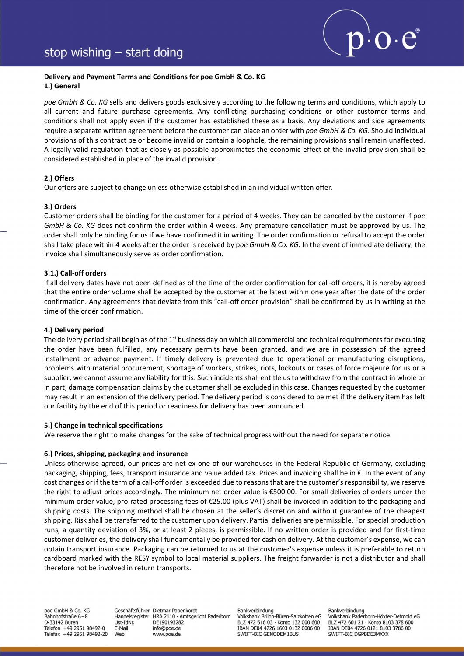

# Delivery and Payment Terms and Conditions for poe GmbH & Co. KG 1.) General

poe GmbH & Co. KG sells and delivers goods exclusively according to the following terms and conditions, which apply to all current and future purchase agreements. Any conflicting purchasing conditions or other customer terms and conditions shall not apply even if the customer has established these as a basis. Any deviations and side agreements require a separate written agreement before the customer can place an order with poe GmbH & Co. KG. Should individual provisions of this contract be or become invalid or contain a loophole, the remaining provisions shall remain unaffected. A legally valid regulation that as closely as possible approximates the economic effect of the invalid provision shall be considered established in place of the invalid provision.

# 2.) Offers

Our offers are subject to change unless otherwise established in an individual written offer.

## 3.) Orders

Customer orders shall be binding for the customer for a period of 4 weeks. They can be canceled by the customer if poe GmbH & Co. KG does not confirm the order within 4 weeks. Any premature cancellation must be approved by us. The order shall only be binding for us if we have confirmed it in writing. The order confirmation or refusal to accept the order shall take place within 4 weeks after the order is received by poe GmbH & Co. KG. In the event of immediate delivery, the invoice shall simultaneously serve as order confirmation.

# 3.1.) Call-off orders

If all delivery dates have not been defined as of the time of the order confirmation for call-off orders, it is hereby agreed that the entire order volume shall be accepted by the customer at the latest within one year after the date of the order confirmation. Any agreements that deviate from this "call-off order provision" shall be confirmed by us in writing at the time of the order confirmation.

## 4.) Delivery period

The delivery period shall begin as of the 1<sup>st</sup> business day on which all commercial and technical requirements for executing the order have been fulfilled, any necessary permits have been granted, and we are in possession of the agreed installment or advance payment. If timely delivery is prevented due to operational or manufacturing disruptions, problems with material procurement, shortage of workers, strikes, riots, lockouts or cases of force majeure for us or a supplier, we cannot assume any liability for this. Such incidents shall entitle us to withdraw from the contract in whole or in part; damage compensation claims by the customer shall be excluded in this case. Changes requested by the customer may result in an extension of the delivery period. The delivery period is considered to be met if the delivery item has left our facility by the end of this period or readiness for delivery has been announced.

## 5.) Change in technical specifications

We reserve the right to make changes for the sake of technical progress without the need for separate notice.

## 6.) Prices, shipping, packaging and insurance

Unless otherwise agreed, our prices are net ex one of our warehouses in the Federal Republic of Germany, excluding packaging, shipping, fees, transport insurance and value added tax. Prices and invoicing shall be in €. In the event of any cost changes or if the term of a call-off order is exceeded due to reasons that are the customer's responsibility, we reserve the right to adjust prices accordingly. The minimum net order value is €500.00. For small deliveries of orders under the minimum order value, pro-rated processing fees of €25.00 (plus VAT) shall be invoiced in addition to the packaging and shipping costs. The shipping method shall be chosen at the seller's discretion and without guarantee of the cheapest shipping. Risk shall be transferred to the customer upon delivery. Partial deliveries are permissible. For special production runs, a quantity deviation of 3%, or at least 2 pieces, is permissible. If no written order is provided and for first-time customer deliveries, the delivery shall fundamentally be provided for cash on delivery. At the customer's expense, we can obtain transport insurance. Packaging can be returned to us at the customer's expense unless it is preferable to return cardboard marked with the RESY symbol to local material suppliers. The freight forwarder is not a distributor and shall therefore not be involved in return transports.

poe GmbH & Co. KG Bahnhofstraße 6-8 D-33142 Büren Telefon +49 2951 98492-0 Telefax +49 2951 98492-20 Geschäftsführer Dietmar Papenkordt Handelsregister HRA 2110 · Amtsgericht Paderborn I Ist-IdNr DF190193282 E-Mail info@poe.de Web www.poe.de

Bankverbindung

Volksbank Brilon-Büren-Salzkotten eG BLZ 472 616 03 · Konto 132 000 600<br>IBAN DE04 4726 1603 0132 0006 00 SWIFT-BIC GENODEM1BUS

Bankverbindung Volksbank Paderborn-Höxter-Detmold eG BLZ 472 601 21 · Konto 8103 378 600<br>IBAN DE04 4726 0121 8103 3786 00 SWIFT-BIC DGPBDE3MXXX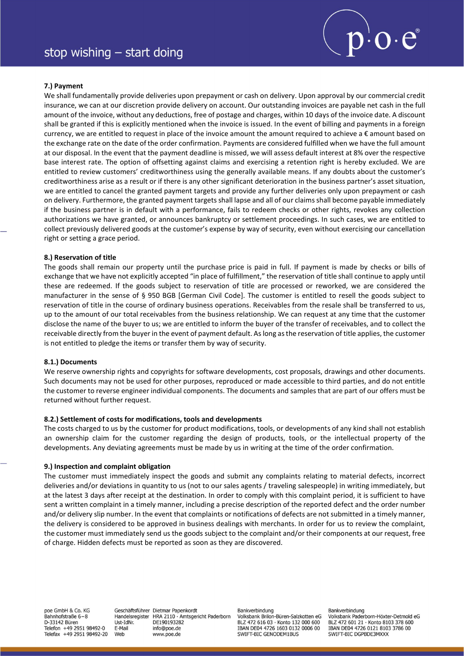

## 7.) Payment

We shall fundamentally provide deliveries upon prepayment or cash on delivery. Upon approval by our commercial credit insurance, we can at our discretion provide delivery on account. Our outstanding invoices are payable net cash in the full amount of the invoice, without any deductions, free of postage and charges, within 10 days of the invoice date. A discount shall be granted if this is explicitly mentioned when the invoice is issued. In the event of billing and payments in a foreign currency, we are entitled to request in place of the invoice amount the amount required to achieve a  $\epsilon$  amount based on the exchange rate on the date of the order confirmation. Payments are considered fulfilled when we have the full amount at our disposal. In the event that the payment deadline is missed, we will assess default interest at 8% over the respective base interest rate. The option of offsetting against claims and exercising a retention right is hereby excluded. We are entitled to review customers' creditworthiness using the generally available means. If any doubts about the customer's creditworthiness arise as a result or if there is any other significant deterioration in the business partner's asset situation, we are entitled to cancel the granted payment targets and provide any further deliveries only upon prepayment or cash on delivery. Furthermore, the granted payment targets shall lapse and all of our claims shall become payable immediately if the business partner is in default with a performance, fails to redeem checks or other rights, revokes any collection authorizations we have granted, or announces bankruptcy or settlement proceedings. In such cases, we are entitled to collect previously delivered goods at the customer's expense by way of security, even without exercising our cancellation right or setting a grace period.

### 8.) Reservation of title

The goods shall remain our property until the purchase price is paid in full. If payment is made by checks or bills of exchange that we have not explicitly accepted "in place of fulfillment," the reservation of title shall continue to apply until these are redeemed. If the goods subject to reservation of title are processed or reworked, we are considered the manufacturer in the sense of § 950 BGB [German Civil Code]. The customer is entitled to resell the goods subject to reservation of title in the course of ordinary business operations. Receivables from the resale shall be transferred to us, up to the amount of our total receivables from the business relationship. We can request at any time that the customer disclose the name of the buyer to us; we are entitled to inform the buyer of the transfer of receivables, and to collect the receivable directly from the buyer in the event of payment default. As long as the reservation of title applies, the customer is not entitled to pledge the items or transfer them by way of security.

#### 8.1.) Documents

We reserve ownership rights and copyrights for software developments, cost proposals, drawings and other documents. Such documents may not be used for other purposes, reproduced or made accessible to third parties, and do not entitle the customer to reverse engineer individual components. The documents and samples that are part of our offers must be returned without further request.

## 8.2.) Settlement of costs for modifications, tools and developments

The costs charged to us by the customer for product modifications, tools, or developments of any kind shall not establish an ownership claim for the customer regarding the design of products, tools, or the intellectual property of the developments. Any deviating agreements must be made by us in writing at the time of the order confirmation.

## 9.) Inspection and complaint obligation

The customer must immediately inspect the goods and submit any complaints relating to material defects, incorrect deliveries and/or deviations in quantity to us (not to our sales agents / traveling salespeople) in writing immediately, but at the latest 3 days after receipt at the destination. In order to comply with this complaint period, it is sufficient to have sent a written complaint in a timely manner, including a precise description of the reported defect and the order number and/or delivery slip number. In the event that complaints or notifications of defects are not submitted in a timely manner, the delivery is considered to be approved in business dealings with merchants. In order for us to review the complaint, the customer must immediately send us the goods subject to the complaint and/or their components at our request, free of charge. Hidden defects must be reported as soon as they are discovered.

poe GmbH & Co. KG Bahnhofstraße 6-8 D-33142 Büren Telefon +49 2951 98492-0 Telefax +49 2951 98492-20 Geschäftsführer Dietmar Papenkordt Handelsregister I Ist-IdNr DF190193282 E-Mail info@poe.de Web www.poe.de

Bankverbindung HRA 2110 · Amtsgericht Paderborn

Volksbank Brilon-Büren-Salzkotten eG BLZ 472 616 03 · Konto 132 000 600 IBAN DE04 4726 1603 0132 0006 00 SWIFT-BIC GENODEM1BUS

Bankverbindung Volksbank Paderborn-Höxter-Detmold eG BLZ 472 601 21 · Konto 8103 378 600 IBAN DE04 4726 0121 8103 3786 00 SWIFT-BIC DGPBDE3MXXX